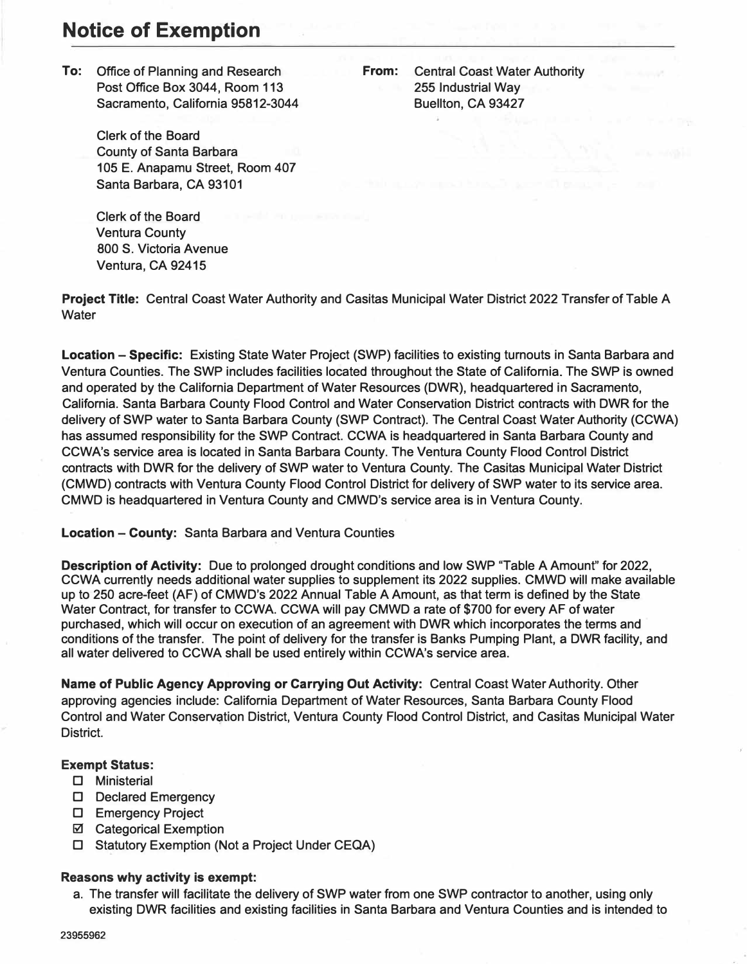# **Notice of Exemption**

**To: Office of Planning and Research Post Office Box 3044, Room 113 Sacramento, California 95812-3044** 

> **Clerk of the Board County of Santa Barbara 105 E. Anapamu Street, Room 407 Santa Barbara, CA 93101**

**Clerk of the Board Ventura County 800 S. Victoria Avenue Ventura, CA 92415** 

**Water** 

**Project Title: Central Coast Water Authority and Casitas Municipal Water District 2022 Transfer of Table A** 

**Location - Specific: Existing State Water Project (SWP) facilities to existing turnouts in Santa Barbara and Ventura Counties. The SWP includes facilities located throughout the State of California. The SWP is owned and operated by the California Department of Water Resources (DWR), headquartered in Sacramento, California. Santa Barbara County Flood Control and Water Conservation District contracts with DWR for the delivery of SWP water to Santa Barbara County (SWP Contract). The Central Coast Water Authority (CCWA) has assumed responsibility for the SWP Contract. CCWA is headquartered in Santa Barbara County and CCWA's service area is located in Santa Barbara County. The Ventura County Flood Control District contracts with DWR for the delivery of SWP water to Ventura County. The Casitas Municipal Water District (CMWD) contracts with Ventura County Flood Control District for delivery of SWP water to its service area. CMWD is headquartered in Ventura County and CMWD's service area is in Ventura County.** 

### **Location - County: Santa Barbara and Ventura Counties**

**Description of Activity: Due to prolonged drought conditions and low SWP "Table A Amount" for 2022, CCWA currently needs additional water supplies to supplement its 2022 supplies. CMWD will make available up to 250 acre-feet (AF) of CMWD's 2022 Annual Table A Amount, as that term is defined by the State Water Contract, for transfer to CCWA. CCWA will pay CMWD a rate of \$700 for every AF of water purchased, which will occur on execution of an agreement with DWR which incorporates the terms and conditions of the transfer. The point of delivery for the transfer is Banks Pumping Plant, a DWR facility, and all water delivered to CCWA shall be used entirely within CCWA's service area.** 

**Name of Public Agency Approving or Carrying Out Activity: Central Coast Water Authority. Other approving agencies include: California Department of Water Resources, Santa Barbara County Flood Control and Water Conserv�tion District, Ventura County Flood Control District, and Casitas Municipal Water District.** 

# **Exempt Status:**

- □ **Ministerial**
- □ **Declared Emergency**
- □ **Emergency Project**
- **@ Categorical Exemption**
- □ **Statutory Exemption (Not a Project Under CEQA)**

## **Reasons why activity is exempt:**

**a. The transfer will facilitate the delivery of SWP water from one SWP contractor to another, using only existing DWR facilities and existing facilities in Santa Barbara and Ventura Counties and is intended to**

**From: Central Coast Water Authority 255 Industrial Way Buellton, CA 93427**